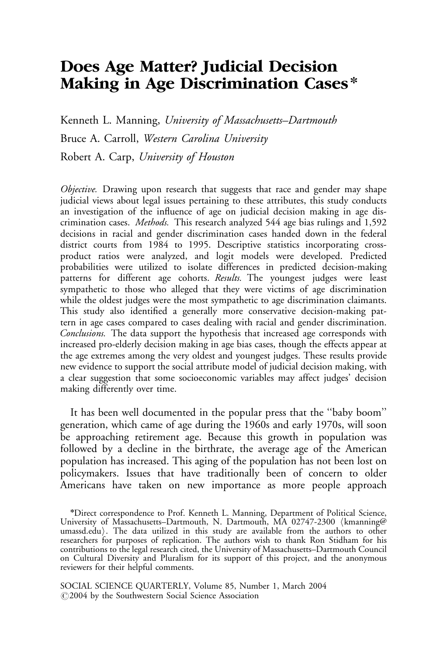# Does Age Matter? Judicial Decision Making in Age Discrimination Cases\*

Kenneth L. Manning, University of Massachusetts–Dartmouth Bruce A. Carroll, Western Carolina University Robert A. Carp, University of Houston

Objective. Drawing upon research that suggests that race and gender may shape judicial views about legal issues pertaining to these attributes, this study conducts an investigation of the influence of age on judicial decision making in age discrimination cases. Methods. This research analyzed 544 age bias rulings and 1,592 decisions in racial and gender discrimination cases handed down in the federal district courts from 1984 to 1995. Descriptive statistics incorporating crossproduct ratios were analyzed, and logit models were developed. Predicted probabilities were utilized to isolate differences in predicted decision-making patterns for different age cohorts. Results. The youngest judges were least sympathetic to those who alleged that they were victims of age discrimination while the oldest judges were the most sympathetic to age discrimination claimants. This study also identified a generally more conservative decision-making pattern in age cases compared to cases dealing with racial and gender discrimination. Conclusions. The data support the hypothesis that increased age corresponds with increased pro-elderly decision making in age bias cases, though the effects appear at the age extremes among the very oldest and youngest judges. These results provide new evidence to support the social attribute model of judicial decision making, with a clear suggestion that some socioeconomic variables may affect judges' decision making differently over time.

It has been well documented in the popular press that the ''baby boom'' generation, which came of age during the 1960s and early 1970s, will soon be approaching retirement age. Because this growth in population was followed by a decline in the birthrate, the average age of the American population has increased. This aging of the population has not been lost on policymakers. Issues that have traditionally been of concern to older Americans have taken on new importance as more people approach

\*Direct correspondence to Prof. Kenneth L. Manning, Department of Political Science, University of Massachusetts–Dartmouth, N. Dartmouth, MA 02747-2300  $\langle$ kmanning@  $umassd.edu$ . The data utilized in this study are available from the authors to other researchers for purposes of replication. The authors wish to thank Ron Stidham for his contributions to the legal research cited, the University of Massachusetts–Dartmouth Council on Cultural Diversity and Pluralism for its support of this project, and the anonymous reviewers for their helpful comments.

SOCIAL SCIENCE QUARTERLY, Volume 85, Number 1, March 2004 ©2004 by the Southwestern Social Science Association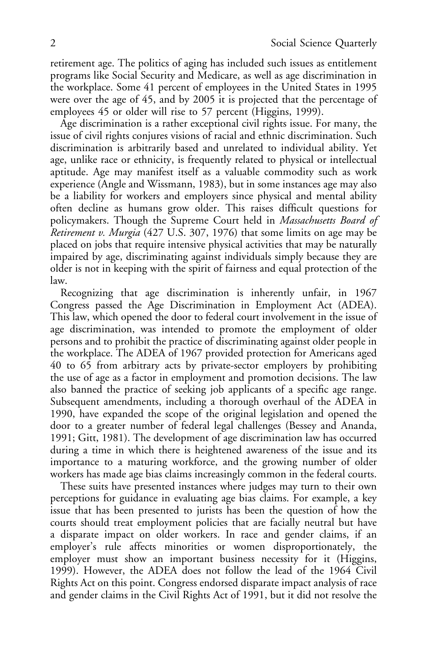retirement age. The politics of aging has included such issues as entitlement programs like Social Security and Medicare, as well as age discrimination in the workplace. Some 41 percent of employees in the United States in 1995 were over the age of 45, and by 2005 it is projected that the percentage of employees 45 or older will rise to 57 percent (Higgins, 1999).

Age discrimination is a rather exceptional civil rights issue. For many, the issue of civil rights conjures visions of racial and ethnic discrimination. Such discrimination is arbitrarily based and unrelated to individual ability. Yet age, unlike race or ethnicity, is frequently related to physical or intellectual aptitude. Age may manifest itself as a valuable commodity such as work experience (Angle and Wissmann, 1983), but in some instances age may also be a liability for workers and employers since physical and mental ability often decline as humans grow older. This raises difficult questions for policymakers. Though the Supreme Court held in Massachusetts Board of Retirement v. Murgia (427 U.S. 307, 1976) that some limits on age may be placed on jobs that require intensive physical activities that may be naturally impaired by age, discriminating against individuals simply because they are older is not in keeping with the spirit of fairness and equal protection of the law.

Recognizing that age discrimination is inherently unfair, in 1967 Congress passed the Age Discrimination in Employment Act (ADEA). This law, which opened the door to federal court involvement in the issue of age discrimination, was intended to promote the employment of older persons and to prohibit the practice of discriminating against older people in the workplace. The ADEA of 1967 provided protection for Americans aged 40 to 65 from arbitrary acts by private-sector employers by prohibiting the use of age as a factor in employment and promotion decisions. The law also banned the practice of seeking job applicants of a specific age range. Subsequent amendments, including a thorough overhaul of the ADEA in 1990, have expanded the scope of the original legislation and opened the door to a greater number of federal legal challenges (Bessey and Ananda, 1991; Gitt, 1981). The development of age discrimination law has occurred during a time in which there is heightened awareness of the issue and its importance to a maturing workforce, and the growing number of older workers has made age bias claims increasingly common in the federal courts.

These suits have presented instances where judges may turn to their own perceptions for guidance in evaluating age bias claims. For example, a key issue that has been presented to jurists has been the question of how the courts should treat employment policies that are facially neutral but have a disparate impact on older workers. In race and gender claims, if an employer's rule affects minorities or women disproportionately, the employer must show an important business necessity for it (Higgins, 1999). However, the ADEA does not follow the lead of the 1964 Civil Rights Act on this point. Congress endorsed disparate impact analysis of race and gender claims in the Civil Rights Act of 1991, but it did not resolve the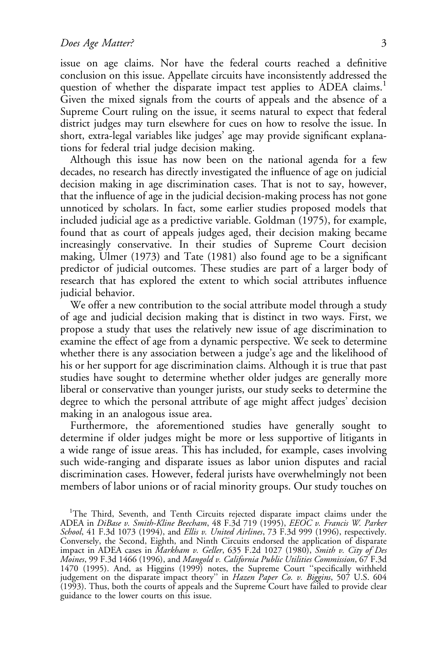issue on age claims. Nor have the federal courts reached a definitive conclusion on this issue. Appellate circuits have inconsistently addressed the question of whether the disparate impact test applies to ADEA claims.<sup>1</sup> Given the mixed signals from the courts of appeals and the absence of a Supreme Court ruling on the issue, it seems natural to expect that federal district judges may turn elsewhere for cues on how to resolve the issue. In short, extra-legal variables like judges' age may provide significant explanations for federal trial judge decision making.

Although this issue has now been on the national agenda for a few decades, no research has directly investigated the influence of age on judicial decision making in age discrimination cases. That is not to say, however, that the influence of age in the judicial decision-making process has not gone unnoticed by scholars. In fact, some earlier studies proposed models that included judicial age as a predictive variable. Goldman (1975), for example, found that as court of appeals judges aged, their decision making became increasingly conservative. In their studies of Supreme Court decision making, Ulmer (1973) and Tate (1981) also found age to be a significant predictor of judicial outcomes. These studies are part of a larger body of research that has explored the extent to which social attributes influence judicial behavior.

We offer a new contribution to the social attribute model through a study of age and judicial decision making that is distinct in two ways. First, we propose a study that uses the relatively new issue of age discrimination to examine the effect of age from a dynamic perspective. We seek to determine whether there is any association between a judge's age and the likelihood of his or her support for age discrimination claims. Although it is true that past studies have sought to determine whether older judges are generally more liberal or conservative than younger jurists, our study seeks to determine the degree to which the personal attribute of age might affect judges' decision making in an analogous issue area.

Furthermore, the aforementioned studies have generally sought to determine if older judges might be more or less supportive of litigants in a wide range of issue areas. This has included, for example, cases involving such wide-ranging and disparate issues as labor union disputes and racial discrimination cases. However, federal jurists have overwhelmingly not been members of labor unions or of racial minority groups. Our study touches on

<sup>&</sup>lt;sup>1</sup>The Third, Seventh, and Tenth Circuits rejected disparate impact claims under the ADEA in DiBase v. Smith-Kline Beecham, 48 F.3d 719 (1995), EEOC v. Francis W. Parker School, 41 F.3d 1073 (1994), and Ellis v. United Airlines, 73 F.3d 999 (1996), respectively. Conversely, the Second, Eighth, and Ninth Circuits endorsed the application of disparate impact in ADEA cases in Markham v. Geller, 635 F.2d 1027 (1980), Smith v. City of Des Moines, 99 F.3d 1466 (1996), and Mangold v. California Public Utilities Commission, 67 F.3d 1470 (1995). And, as Higgins (1999) notes, the Supreme Court ''specifically withheld judgement on the disparate impact theory" in *Hazen Paper Co. v. Biggins*, 507 U.S. 604 (1993). Thus, both the courts of appeals and the Supreme Court have failed to provide clear guidance to the lower courts on this issue.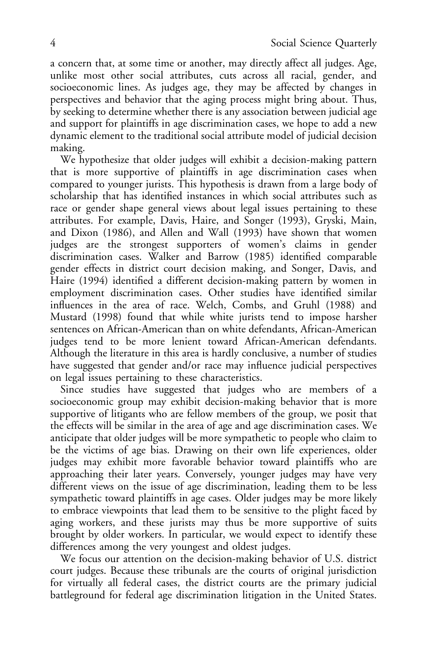a concern that, at some time or another, may directly affect all judges. Age, unlike most other social attributes, cuts across all racial, gender, and socioeconomic lines. As judges age, they may be affected by changes in perspectives and behavior that the aging process might bring about. Thus, by seeking to determine whether there is any association between judicial age and support for plaintiffs in age discrimination cases, we hope to add a new dynamic element to the traditional social attribute model of judicial decision making.

We hypothesize that older judges will exhibit a decision-making pattern that is more supportive of plaintiffs in age discrimination cases when compared to younger jurists. This hypothesis is drawn from a large body of scholarship that has identified instances in which social attributes such as race or gender shape general views about legal issues pertaining to these attributes. For example, Davis, Haire, and Songer (1993), Gryski, Main, and Dixon (1986), and Allen and Wall (1993) have shown that women judges are the strongest supporters of women's claims in gender discrimination cases. Walker and Barrow (1985) identified comparable gender effects in district court decision making, and Songer, Davis, and Haire (1994) identified a different decision-making pattern by women in employment discrimination cases. Other studies have identified similar influences in the area of race. Welch, Combs, and Gruhl (1988) and Mustard (1998) found that while white jurists tend to impose harsher sentences on African-American than on white defendants, African-American judges tend to be more lenient toward African-American defendants. Although the literature in this area is hardly conclusive, a number of studies have suggested that gender and/or race may influence judicial perspectives on legal issues pertaining to these characteristics.

Since studies have suggested that judges who are members of a socioeconomic group may exhibit decision-making behavior that is more supportive of litigants who are fellow members of the group, we posit that the effects will be similar in the area of age and age discrimination cases. We anticipate that older judges will be more sympathetic to people who claim to be the victims of age bias. Drawing on their own life experiences, older judges may exhibit more favorable behavior toward plaintiffs who are approaching their later years. Conversely, younger judges may have very different views on the issue of age discrimination, leading them to be less sympathetic toward plaintiffs in age cases. Older judges may be more likely to embrace viewpoints that lead them to be sensitive to the plight faced by aging workers, and these jurists may thus be more supportive of suits brought by older workers. In particular, we would expect to identify these differences among the very youngest and oldest judges.

We focus our attention on the decision-making behavior of U.S. district court judges. Because these tribunals are the courts of original jurisdiction for virtually all federal cases, the district courts are the primary judicial battleground for federal age discrimination litigation in the United States.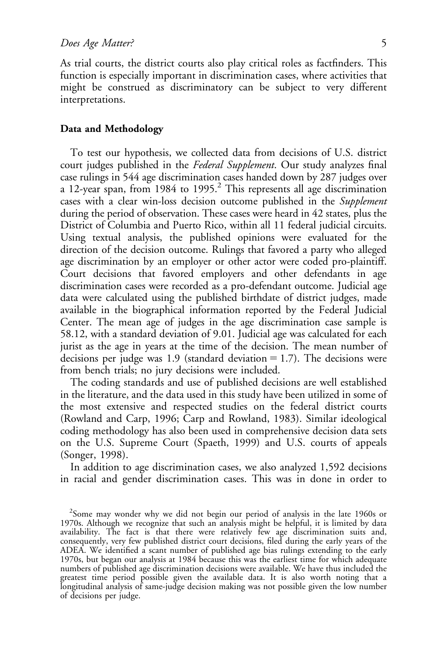As trial courts, the district courts also play critical roles as factfinders. This function is especially important in discrimination cases, where activities that might be construed as discriminatory can be subject to very different interpretations.

# Data and Methodology

To test our hypothesis, we collected data from decisions of U.S. district court judges published in the *Federal Supplement*. Our study analyzes final case rulings in 544 age discrimination cases handed down by 287 judges over a 12-year span, from 1984 to 1995.<sup>2</sup> This represents all age discrimination cases with a clear win-loss decision outcome published in the Supplement during the period of observation. These cases were heard in 42 states, plus the District of Columbia and Puerto Rico, within all 11 federal judicial circuits. Using textual analysis, the published opinions were evaluated for the direction of the decision outcome. Rulings that favored a party who alleged age discrimination by an employer or other actor were coded pro-plaintiff. Court decisions that favored employers and other defendants in age discrimination cases were recorded as a pro-defendant outcome. Judicial age data were calculated using the published birthdate of district judges, made available in the biographical information reported by the Federal Judicial Center. The mean age of judges in the age discrimination case sample is 58.12, with a standard deviation of 9.01. Judicial age was calculated for each jurist as the age in years at the time of the decision. The mean number of decisions per judge was 1.9 (standard deviation  $= 1.7$ ). The decisions were from bench trials; no jury decisions were included.

The coding standards and use of published decisions are well established in the literature, and the data used in this study have been utilized in some of the most extensive and respected studies on the federal district courts (Rowland and Carp, 1996; Carp and Rowland, 1983). Similar ideological coding methodology has also been used in comprehensive decision data sets on the U.S. Supreme Court (Spaeth, 1999) and U.S. courts of appeals (Songer, 1998).

In addition to age discrimination cases, we also analyzed 1,592 decisions in racial and gender discrimination cases. This was in done in order to

<sup>&</sup>lt;sup>2</sup>Some may wonder why we did not begin our period of analysis in the late 1960s or 1970s. Although we recognize that such an analysis might be helpful, it is limited by data availability. The fact is that there were relatively few age discrimination suits and, consequently, very few published district court decisions, filed during the early years of the ADEA. We identified a scant number of published age bias rulings extending to the early 1970s, but began our analysis at 1984 because this was the earliest time for which adequate numbers of published age discrimination decisions were available. We have thus included the greatest time period possible given the available data. It is also worth noting that a longitudinal analysis of same-judge decision making was not possible given the low number of decisions per judge.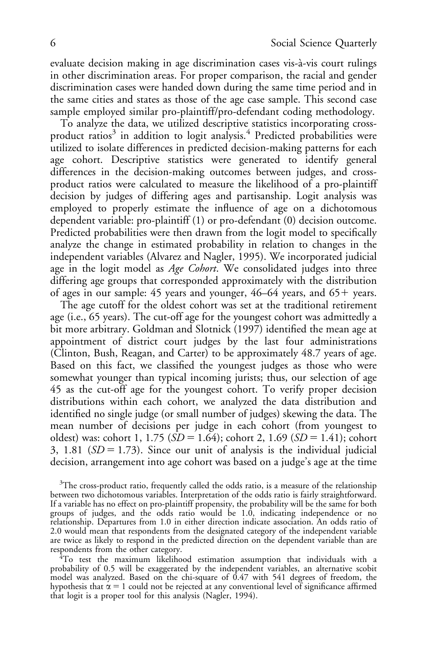evaluate decision making in age discrimination cases vis-à-vis court rulings in other discrimination areas. For proper comparison, the racial and gender discrimination cases were handed down during the same time period and in the same cities and states as those of the age case sample. This second case sample employed similar pro-plaintiff/pro-defendant coding methodology.

To analyze the data, we utilized descriptive statistics incorporating crossproduct ratios<sup>3</sup> in addition to logit analysis.<sup>4</sup> Predicted probabilities were utilized to isolate differences in predicted decision-making patterns for each age cohort. Descriptive statistics were generated to identify general differences in the decision-making outcomes between judges, and crossproduct ratios were calculated to measure the likelihood of a pro-plaintiff decision by judges of differing ages and partisanship. Logit analysis was employed to properly estimate the influence of age on a dichotomous dependent variable: pro-plaintiff (1) or pro-defendant (0) decision outcome. Predicted probabilities were then drawn from the logit model to specifically analyze the change in estimated probability in relation to changes in the independent variables (Alvarez and Nagler, 1995). We incorporated judicial age in the logit model as Age Cohort. We consolidated judges into three differing age groups that corresponded approximately with the distribution of ages in our sample: 45 years and younger, 46–64 years, and  $65+$  years.

The age cutoff for the oldest cohort was set at the traditional retirement age (i.e., 65 years). The cut-off age for the youngest cohort was admittedly a bit more arbitrary. Goldman and Slotnick (1997) identified the mean age at appointment of district court judges by the last four administrations (Clinton, Bush, Reagan, and Carter) to be approximately 48.7 years of age. Based on this fact, we classified the youngest judges as those who were somewhat younger than typical incoming jurists; thus, our selection of age 45 as the cut-off age for the youngest cohort. To verify proper decision distributions within each cohort, we analyzed the data distribution and identified no single judge (or small number of judges) skewing the data. The mean number of decisions per judge in each cohort (from youngest to oldest) was: cohort 1, 1.75  $(SD = 1.64)$ ; cohort 2, 1.69  $(SD = 1.41)$ ; cohort 3, 1.81 ( $SD = 1.73$ ). Since our unit of analysis is the individual judicial decision, arrangement into age cohort was based on a judge's age at the time

 ${}^{4}$ To test the maximum likelihood estimation assumption that individuals with a probability of 0.5 will be exaggerated by the independent variables, an alternative scobit model was analyzed. Based on the chi-square of 0.47 with 541 degrees of freedom, the hypothesis that  $\alpha = 1$  could not be rejected at any conventional level of significance affirmed that logit is a proper tool for this analysis (Nagler, 1994).

 $3$ The cross-product ratio, frequently called the odds ratio, is a measure of the relationship between two dichotomous variables. Interpretation of the odds ratio is fairly straightforward. If a variable has no effect on pro-plaintiff propensity, the probability will be the same for both groups of judges, and the odds ratio would be 1.0, indicating independence or no relationship. Departures from 1.0 in either direction indicate association. An odds ratio of 2.0 would mean that respondents from the designated category of the independent variable are twice as likely to respond in the predicted direction on the dependent variable than are respondents from the other category.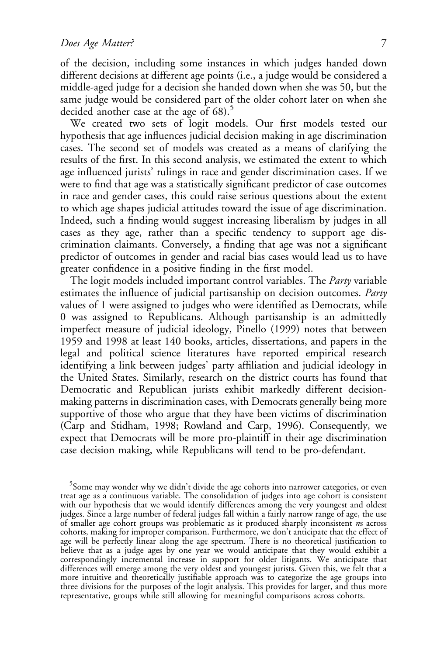of the decision, including some instances in which judges handed down different decisions at different age points (i.e., a judge would be considered a middle-aged judge for a decision she handed down when she was 50, but the same judge would be considered part of the older cohort later on when she decided another case at the age of  $68$ ).<sup>5</sup>

We created two sets of logit models. Our first models tested our hypothesis that age influences judicial decision making in age discrimination cases. The second set of models was created as a means of clarifying the results of the first. In this second analysis, we estimated the extent to which age influenced jurists' rulings in race and gender discrimination cases. If we were to find that age was a statistically significant predictor of case outcomes in race and gender cases, this could raise serious questions about the extent to which age shapes judicial attitudes toward the issue of age discrimination. Indeed, such a finding would suggest increasing liberalism by judges in all cases as they age, rather than a specific tendency to support age discrimination claimants. Conversely, a finding that age was not a significant predictor of outcomes in gender and racial bias cases would lead us to have greater confidence in a positive finding in the first model.

The logit models included important control variables. The *Party* variable estimates the influence of judicial partisanship on decision outcomes. Party values of 1 were assigned to judges who were identified as Democrats, while 0 was assigned to Republicans. Although partisanship is an admittedly imperfect measure of judicial ideology, Pinello (1999) notes that between 1959 and 1998 at least 140 books, articles, dissertations, and papers in the legal and political science literatures have reported empirical research identifying a link between judges' party affiliation and judicial ideology in the United States. Similarly, research on the district courts has found that Democratic and Republican jurists exhibit markedly different decisionmaking patterns in discrimination cases, with Democrats generally being more supportive of those who argue that they have been victims of discrimination (Carp and Stidham, 1998; Rowland and Carp, 1996). Consequently, we expect that Democrats will be more pro-plaintiff in their age discrimination case decision making, while Republicans will tend to be pro-defendant.

<sup>5</sup>Some may wonder why we didn't divide the age cohorts into narrower categories, or even treat age as a continuous variable. The consolidation of judges into age cohort is consistent with our hypothesis that we would identify differences among the very youngest and oldest judges. Since a large number of federal judges fall within a fairly narrow range of age, the use<br>of smaller age cohort groups was problematic as it produced sharply inconsistent *ns* across of smaller age cohort groups was problematic as it produced sharply inconsistent *n*s across cohorts, making for improper comparison. Furthermore, we don't anticipate that the effect of age will be perfectly linear along the age spectrum. There is no theoretical justification to believe that as a judge ages by one year we would anticipate that they would exhibit a correspondingly incremental increase in support for older litigants. We anticipate that differences will emerge among the very oldest and youngest jurists. Given this, we felt that a more intuitive and theoretically justifiable approach was to categorize the age groups into three divisions for the purposes of the logit analysis. This provides for larger, and thus more representative, groups while still allowing for meaningful comparisons across cohorts.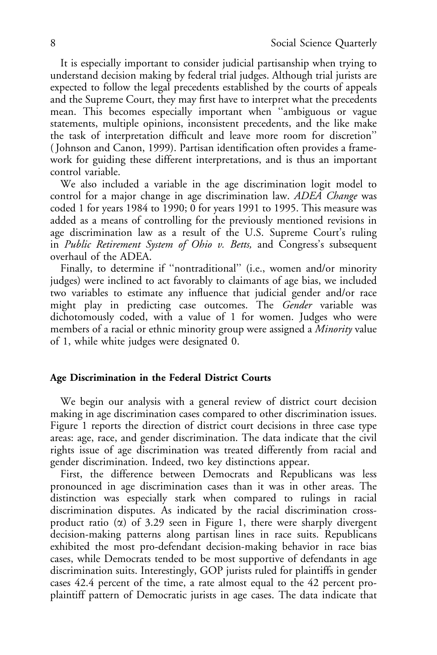It is especially important to consider judicial partisanship when trying to understand decision making by federal trial judges. Although trial jurists are expected to follow the legal precedents established by the courts of appeals and the Supreme Court, they may first have to interpret what the precedents mean. This becomes especially important when ''ambiguous or vague statements, multiple opinions, inconsistent precedents, and the like make the task of interpretation difficult and leave more room for discretion'' ( Johnson and Canon, 1999). Partisan identification often provides a framework for guiding these different interpretations, and is thus an important control variable.

We also included a variable in the age discrimination logit model to control for a major change in age discrimination law. *ADEA Change* was coded 1 for years 1984 to 1990; 0 for years 1991 to 1995. This measure was added as a means of controlling for the previously mentioned revisions in age discrimination law as a result of the U.S. Supreme Court's ruling in *Public Retirement System of Ohio v. Betts*, and Congress's subsequent overhaul of the ADEA.

Finally, to determine if ''nontraditional'' (i.e., women and/or minority judges) were inclined to act favorably to claimants of age bias, we included two variables to estimate any influence that judicial gender and/or race might play in predicting case outcomes. The *Gender* variable was dichotomously coded, with a value of 1 for women. Judges who were members of a racial or ethnic minority group were assigned a *Minority* value of 1, while white judges were designated 0.

# Age Discrimination in the Federal District Courts

We begin our analysis with a general review of district court decision making in age discrimination cases compared to other discrimination issues. Figure 1 reports the direction of district court decisions in three case type areas: age, race, and gender discrimination. The data indicate that the civil rights issue of age discrimination was treated differently from racial and gender discrimination. Indeed, two key distinctions appear.

First, the difference between Democrats and Republicans was less pronounced in age discrimination cases than it was in other areas. The distinction was especially stark when compared to rulings in racial discrimination disputes. As indicated by the racial discrimination crossproduct ratio  $\alpha$  of 3.29 seen in Figure 1, there were sharply divergent decision-making patterns along partisan lines in race suits. Republicans exhibited the most pro-defendant decision-making behavior in race bias cases, while Democrats tended to be most supportive of defendants in age discrimination suits. Interestingly, GOP jurists ruled for plaintiffs in gender cases 42.4 percent of the time, a rate almost equal to the 42 percent proplaintiff pattern of Democratic jurists in age cases. The data indicate that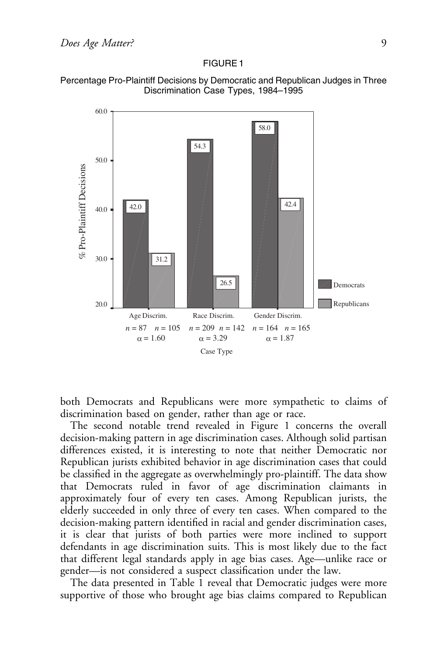#### FIGURE 1





both Democrats and Republicans were more sympathetic to claims of discrimination based on gender, rather than age or race.

The second notable trend revealed in Figure 1 concerns the overall decision-making pattern in age discrimination cases. Although solid partisan differences existed, it is interesting to note that neither Democratic nor Republican jurists exhibited behavior in age discrimination cases that could be classified in the aggregate as overwhelmingly pro-plaintiff. The data show that Democrats ruled in favor of age discrimination claimants in approximately four of every ten cases. Among Republican jurists, the elderly succeeded in only three of every ten cases. When compared to the decision-making pattern identified in racial and gender discrimination cases, it is clear that jurists of both parties were more inclined to support defendants in age discrimination suits. This is most likely due to the fact that different legal standards apply in age bias cases. Age—unlike race or gender—is not considered a suspect classification under the law.

The data presented in Table 1 reveal that Democratic judges were more supportive of those who brought age bias claims compared to Republican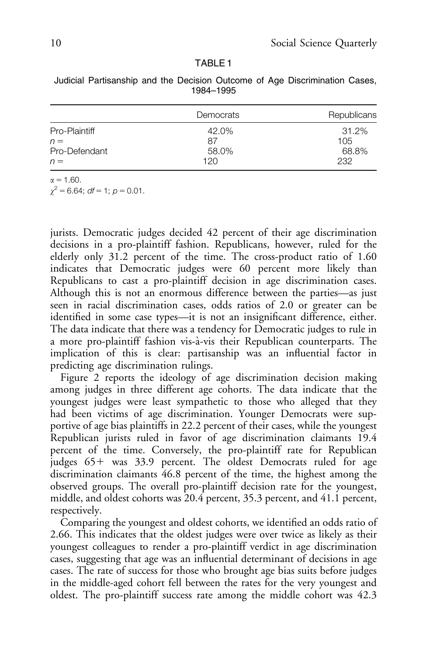## TABLE 1

Judicial Partisanship and the Decision Outcome of Age Discrimination Cases, 1984–1995

|               | Democrats | Republicans |  |
|---------------|-----------|-------------|--|
| Pro-Plaintiff | 42.0%     | 31.2%       |  |
| $n =$         | 87        | 105         |  |
| Pro-Defendant | 58.0%     | 68.8%       |  |
| $n =$         | 120       | 232         |  |

 $\alpha = 1.60$ .

 $\chi^2$  = 6.64; df = 1; p = 0.01.

jurists. Democratic judges decided 42 percent of their age discrimination decisions in a pro-plaintiff fashion. Republicans, however, ruled for the elderly only 31.2 percent of the time. The cross-product ratio of 1.60 indicates that Democratic judges were 60 percent more likely than Republicans to cast a pro-plaintiff decision in age discrimination cases. Although this is not an enormous difference between the parties—as just seen in racial discrimination cases, odds ratios of 2.0 or greater can be identified in some case types—it is not an insignificant difference, either. The data indicate that there was a tendency for Democratic judges to rule in a more pro-plaintiff fashion vis-à-vis their Republican counterparts. The implication of this is clear: partisanship was an influential factor in predicting age discrimination rulings.

Figure 2 reports the ideology of age discrimination decision making among judges in three different age cohorts. The data indicate that the youngest judges were least sympathetic to those who alleged that they had been victims of age discrimination. Younger Democrats were supportive of age bias plaintiffs in 22.2 percent of their cases, while the youngest Republican jurists ruled in favor of age discrimination claimants 19.4 percent of the time. Conversely, the pro-plaintiff rate for Republican judges 65+ was 33.9 percent. The oldest Democrats ruled for age discrimination claimants 46.8 percent of the time, the highest among the observed groups. The overall pro-plaintiff decision rate for the youngest, middle, and oldest cohorts was 20.4 percent, 35.3 percent, and 41.1 percent, respectively.

Comparing the youngest and oldest cohorts, we identified an odds ratio of 2.66. This indicates that the oldest judges were over twice as likely as their youngest colleagues to render a pro-plaintiff verdict in age discrimination cases, suggesting that age was an influential determinant of decisions in age cases. The rate of success for those who brought age bias suits before judges in the middle-aged cohort fell between the rates for the very youngest and oldest. The pro-plaintiff success rate among the middle cohort was 42.3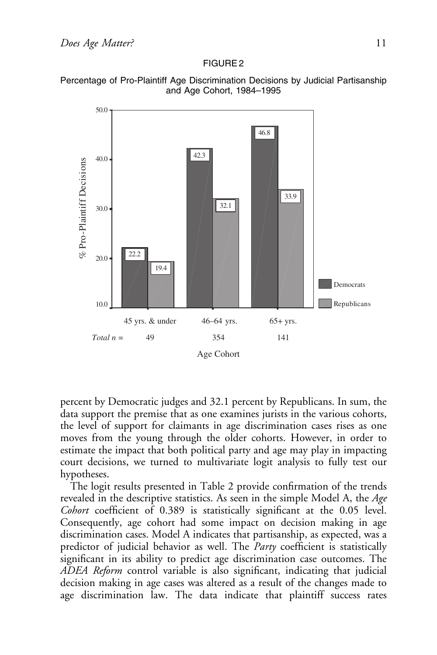#### FIGURE 2





percent by Democratic judges and 32.1 percent by Republicans. In sum, the data support the premise that as one examines jurists in the various cohorts, the level of support for claimants in age discrimination cases rises as one moves from the young through the older cohorts. However, in order to estimate the impact that both political party and age may play in impacting court decisions, we turned to multivariate logit analysis to fully test our hypotheses.

The logit results presented in Table 2 provide confirmation of the trends revealed in the descriptive statistics. As seen in the simple Model A, the Age Cohort coefficient of 0.389 is statistically significant at the 0.05 level. Consequently, age cohort had some impact on decision making in age discrimination cases. Model A indicates that partisanship, as expected, was a predictor of judicial behavior as well. The *Party* coefficient is statistically significant in its ability to predict age discrimination case outcomes. The ADEA Reform control variable is also significant, indicating that judicial decision making in age cases was altered as a result of the changes made to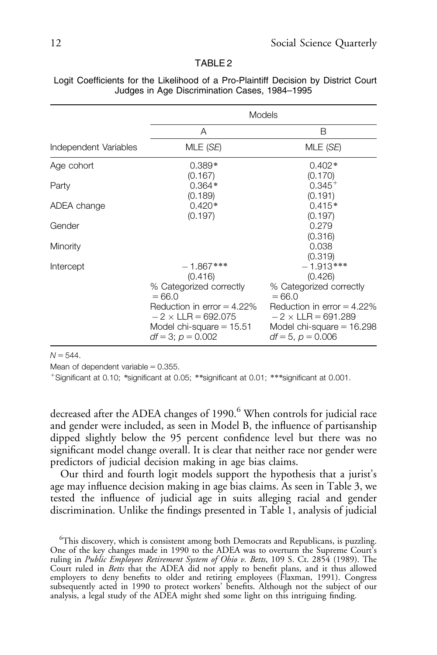#### TABLE 2

|                       | Models                                                                                                            |                                                                                                                     |  |  |  |
|-----------------------|-------------------------------------------------------------------------------------------------------------------|---------------------------------------------------------------------------------------------------------------------|--|--|--|
|                       | A                                                                                                                 | B                                                                                                                   |  |  |  |
| Independent Variables | MLE (SE)                                                                                                          | MLE (SE)                                                                                                            |  |  |  |
| Age cohort            | $0.389*$                                                                                                          | $0.402*$                                                                                                            |  |  |  |
| Party                 | (0.167)<br>$0.364*$                                                                                               | (0.170)<br>$0.345^{+}$                                                                                              |  |  |  |
| ADEA change           | (0.189)<br>$0.420*$                                                                                               | (0.191)<br>$0.415*$                                                                                                 |  |  |  |
| Gender                | (0.197)                                                                                                           | (0.197)<br>0.279                                                                                                    |  |  |  |
| Minority              |                                                                                                                   | (0.316)<br>0.038                                                                                                    |  |  |  |
|                       | $-1.867***$                                                                                                       | (0.319)<br>$-1.913***$                                                                                              |  |  |  |
| Intercept             | (0.416)<br>% Categorized correctly<br>$=66.0$                                                                     | (0.426)<br>% Categorized correctly<br>$=66.0$                                                                       |  |  |  |
|                       | Reduction in error $=$ 4.22%<br>$-2 \times$ LLR = 692.075<br>Model chi-square $= 15.51$<br>$df = 3$ ; $p = 0.002$ | Reduction in error = $4.22\%$<br>$-2 \times LLR = 691.289$<br>Model chi-square $= 16.298$<br>$df = 5$ , $p = 0.006$ |  |  |  |

| Logit Coefficients for the Likelihood of a Pro-Plaintiff Decision by District Court |  |
|-------------------------------------------------------------------------------------|--|
| Judges in Age Discrimination Cases, 1984–1995                                       |  |

 $N = 544.$ 

Mean of dependent variable  $= 0.355$ .

<sup>+</sup>Significant at 0.10; \*significant at 0.05; \*\*significant at 0.01; \*\*\*significant at 0.001.

decreased after the ADEA changes of 1990.<sup>6</sup> When controls for judicial race and gender were included, as seen in Model B, the influence of partisanship dipped slightly below the 95 percent confidence level but there was no significant model change overall. It is clear that neither race nor gender were predictors of judicial decision making in age bias claims.

Our third and fourth logit models support the hypothesis that a jurist's age may influence decision making in age bias claims. As seen in Table 3, we tested the influence of judicial age in suits alleging racial and gender discrimination. Unlike the findings presented in Table 1, analysis of judicial

<sup>6</sup> This discovery, which is consistent among both Democrats and Republicans, is puzzling. One of the key changes made in 1990 to the ADEA was to overturn the Supreme Court's ruling in Public Employees Retirement System of Ohio v. Betts, 109 S. Ct. 2854 (1989). The Court ruled in Betts that the ADEA did not apply to benefit plans, and it thus allowed employers to deny benefits to older and retiring employees (Flaxman, 1991). Congress subsequently acted in 1990 to protect workers' benefits. Although not the subject of our analysis, a legal study of the ADEA might shed some light on this intriguing finding.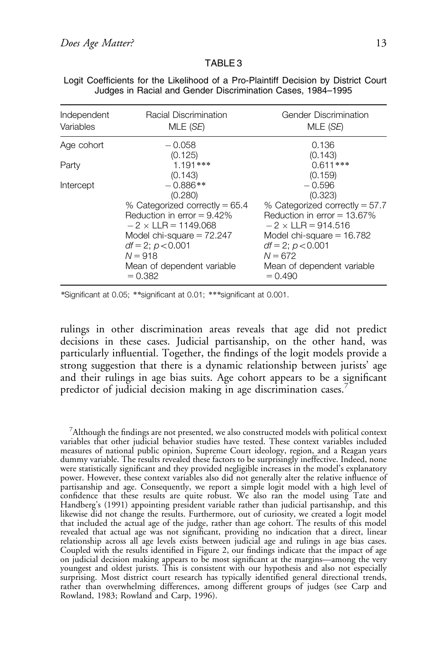#### TABLE 3

| Independent<br>Variables | Racial Discrimination<br>MLE (SE)                                                                                                                                                                                                         | <b>Gender Discrimination</b><br>MLE (SE)                                                                                                                                                                                                |
|--------------------------|-------------------------------------------------------------------------------------------------------------------------------------------------------------------------------------------------------------------------------------------|-----------------------------------------------------------------------------------------------------------------------------------------------------------------------------------------------------------------------------------------|
| Age cohort               | $-0.058$<br>(0.125)                                                                                                                                                                                                                       | 0.136<br>(0.143)                                                                                                                                                                                                                        |
| Party                    | $1.191***$<br>(0.143)                                                                                                                                                                                                                     | $0.611***$<br>(0.159)                                                                                                                                                                                                                   |
| Intercept                | $-0.886**$<br>(0.280)<br>% Categorized correctly = $65.4$<br>Reduction in error = $9.42\%$<br>$-2 \times$ LLR = 1149.068<br>Model chi-square $= 72.247$<br>$df = 2$ ; $p < 0.001$<br>$N = 918$<br>Mean of dependent variable<br>$= 0.382$ | $-0.596$<br>(0.323)<br>% Categorized correctly = $57.7$<br>Reduction in error = $13.67\%$<br>$-2 \times LIR = 914.516$<br>Model chi-square $= 16.782$<br>$df = 2$ ; $p < 0.001$<br>$N = 672$<br>Mean of dependent variable<br>$= 0.490$ |

Logit Coefficients for the Likelihood of a Pro-Plaintiff Decision by District Court Judges in Racial and Gender Discrimination Cases, 1984–1995

\*Significant at 0.05; \*\*significant at 0.01; \*\*\*significant at 0.001.

rulings in other discrimination areas reveals that age did not predict decisions in these cases. Judicial partisanship, on the other hand, was particularly influential. Together, the findings of the logit models provide a strong suggestion that there is a dynamic relationship between jurists' age and their rulings in age bias suits. Age cohort appears to be a significant predictor of judicial decision making in age discrimination cases.<sup>7</sup>

 $^7$ Although the findings are not presented, we also constructed models with political context variables that other judicial behavior studies have tested. These context variables included measures of national public opinion, Supreme Court ideology, region, and a Reagan years dummy variable. The results revealed these factors to be surprisingly ineffective. Indeed, none were statistically significant and they provided negligible increases in the model's explanatory power. However, these context variables also did not generally alter the relative influence of partisanship and age. Consequently, we report a simple logit model with a high level of confidence that these results are quite robust. We also ran the model using Tate and Handberg's (1991) appointing president variable rather than judicial partisanship, and this likewise did not change the results. Furthermore, out of curiosity, we created a logit model that included the actual age of the judge, rather than age cohort. The results of this model revealed that actual age was not significant, providing no indication that a direct, linear relationship across all age levels exists between judicial age and rulings in age bias cases. Coupled with the results identified in Figure 2, our findings indicate that the impact of age on judicial decision making appears to be most significant at the margins—among the very youngest and oldest jurists. This is consistent with our hypothesis and also not especially surprising. Most district court research has typically identified general directional trends, rather than overwhelming differences, among different groups of judges (see Carp and Rowland, 1983; Rowland and Carp, 1996).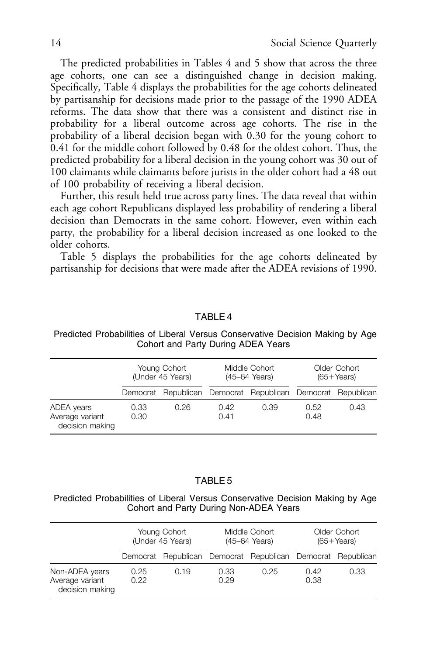The predicted probabilities in Tables 4 and 5 show that across the three age cohorts, one can see a distinguished change in decision making. Specifically, Table 4 displays the probabilities for the age cohorts delineated by partisanship for decisions made prior to the passage of the 1990 ADEA reforms. The data show that there was a consistent and distinct rise in probability for a liberal outcome across age cohorts. The rise in the probability of a liberal decision began with 0.30 for the young cohort to 0.41 for the middle cohort followed by 0.48 for the oldest cohort. Thus, the predicted probability for a liberal decision in the young cohort was 30 out of 100 claimants while claimants before jurists in the older cohort had a 48 out of 100 probability of receiving a liberal decision.

Further, this result held true across party lines. The data reveal that within each age cohort Republicans displayed less probability of rendering a liberal decision than Democrats in the same cohort. However, even within each party, the probability for a liberal decision increased as one looked to the older cohorts.

Table 5 displays the probabilities for the age cohorts delineated by partisanship for decisions that were made after the ADEA revisions of 1990.

## TABLE 4

Predicted Probabilities of Liberal Versus Conservative Decision Making by Age Cohort and Party During ADEA Years

|                                                  | Young Cohort<br>(Under 45 Years) |                                                             | Middle Cohort<br>$(45–64 \text{ Years})$ |      | Older Cohort<br>$(65 + Years)$ |      |
|--------------------------------------------------|----------------------------------|-------------------------------------------------------------|------------------------------------------|------|--------------------------------|------|
|                                                  |                                  | Democrat Republican Democrat Republican Democrat Republican |                                          |      |                                |      |
| ADEA years<br>Average variant<br>decision making | 0.33<br>0.30                     | 0.26                                                        | 0.42<br>0.41                             | 0.39 | 0.52<br>0.48                   | 0.43 |

#### TABLE 5

## Predicted Probabilities of Liberal Versus Conservative Decision Making by Age Cohort and Party During Non-ADEA Years

|                                                      | Young Cohort<br>(Under 45 Years) |      | Middle Cohort<br>(45-64 Years) |                                                             | Older Cohort<br>$(65 + Years)$ |      |
|------------------------------------------------------|----------------------------------|------|--------------------------------|-------------------------------------------------------------|--------------------------------|------|
|                                                      |                                  |      |                                | Democrat Republican Democrat Republican Democrat Republican |                                |      |
| Non-ADEA years<br>Average variant<br>decision making | 0.25<br>0.22                     | 0.19 | 0.33<br>0.29                   | 0.25                                                        | 0.42<br>0.38                   | 0.33 |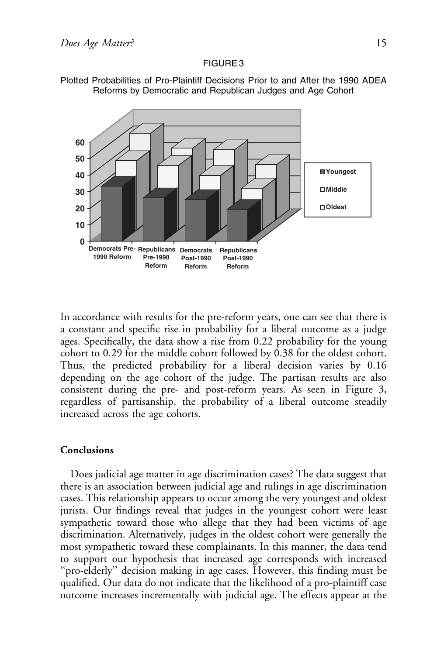





In accordance with results for the pre-reform years, one can see that there is a constant and specific rise in probability for a liberal outcome as a judge ages. Specifically, the data show a rise from 0.22 probability for the young cohort to 0.29 for the middle cohort followed by 0.38 for the oldest cohort. Thus, the predicted probability for a liberal decision varies by 0.16 depending on the age cohort of the judge. The partisan results are also consistent during the pre- and post-reform years. As seen in Figure 3, regardless of partisanship, the probability of a liberal outcome steadily increased across the age cohorts.

# Conclusions

Does judicial age matter in age discrimination cases? The data suggest that there is an association between judicial age and rulings in age discrimination cases. This relationship appears to occur among the very youngest and oldest jurists. Our findings reveal that judges in the youngest cohort were least sympathetic toward those who allege that they had been victims of age discrimination. Alternatively, judges in the oldest cohort were generally the most sympathetic toward these complainants. In this manner, the data tend to support our hypothesis that increased age corresponds with increased ''pro-elderly'' decision making in age cases. However, this finding must be qualified. Our data do not indicate that the likelihood of a pro-plaintiff case outcome increases incrementally with judicial age. The effects appear at the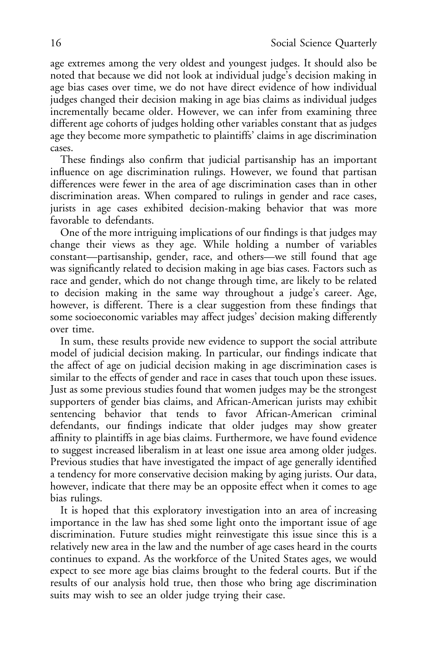age extremes among the very oldest and youngest judges. It should also be noted that because we did not look at individual judge's decision making in age bias cases over time, we do not have direct evidence of how individual judges changed their decision making in age bias claims as individual judges incrementally became older. However, we can infer from examining three different age cohorts of judges holding other variables constant that as judges age they become more sympathetic to plaintiffs' claims in age discrimination cases.

These findings also confirm that judicial partisanship has an important influence on age discrimination rulings. However, we found that partisan differences were fewer in the area of age discrimination cases than in other discrimination areas. When compared to rulings in gender and race cases, jurists in age cases exhibited decision-making behavior that was more favorable to defendants.

One of the more intriguing implications of our findings is that judges may change their views as they age. While holding a number of variables constant—partisanship, gender, race, and others—we still found that age was significantly related to decision making in age bias cases. Factors such as race and gender, which do not change through time, are likely to be related to decision making in the same way throughout a judge's career. Age, however, is different. There is a clear suggestion from these findings that some socioeconomic variables may affect judges' decision making differently over time.

In sum, these results provide new evidence to support the social attribute model of judicial decision making. In particular, our findings indicate that the affect of age on judicial decision making in age discrimination cases is similar to the effects of gender and race in cases that touch upon these issues. Just as some previous studies found that women judges may be the strongest supporters of gender bias claims, and African-American jurists may exhibit sentencing behavior that tends to favor African-American criminal defendants, our findings indicate that older judges may show greater affinity to plaintiffs in age bias claims. Furthermore, we have found evidence to suggest increased liberalism in at least one issue area among older judges. Previous studies that have investigated the impact of age generally identified a tendency for more conservative decision making by aging jurists. Our data, however, indicate that there may be an opposite effect when it comes to age bias rulings.

It is hoped that this exploratory investigation into an area of increasing importance in the law has shed some light onto the important issue of age discrimination. Future studies might reinvestigate this issue since this is a relatively new area in the law and the number of age cases heard in the courts continues to expand. As the workforce of the United States ages, we would expect to see more age bias claims brought to the federal courts. But if the results of our analysis hold true, then those who bring age discrimination suits may wish to see an older judge trying their case.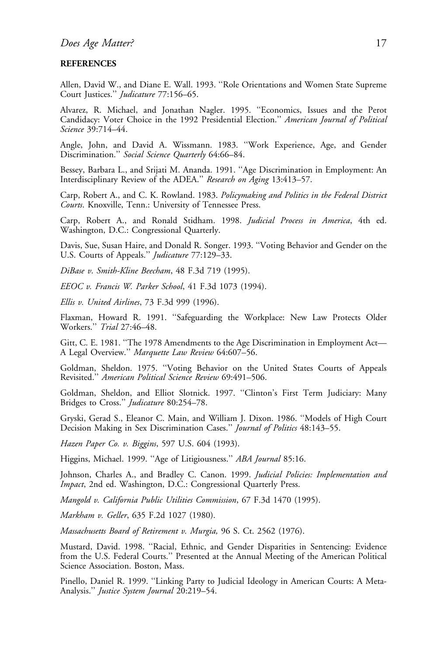#### **REFERENCES**

Allen, David W., and Diane E. Wall. 1993. ''Role Orientations and Women State Supreme Court Justices.'' Judicature 77:156–65.

Alvarez, R. Michael, and Jonathan Nagler. 1995. ''Economics, Issues and the Perot Candidacy: Voter Choice in the 1992 Presidential Election.'' American Journal of Political Science 39:714-44.

Angle, John, and David A. Wissmann. 1983. ''Work Experience, Age, and Gender Discrimination.'' Social Science Quarterly 64:66–84.

Bessey, Barbara L., and Srijati M. Ananda. 1991. ''Age Discrimination in Employment: An Interdisciplinary Review of the ADEA.'' Research on Aging 13:413–57.

Carp, Robert A., and C. K. Rowland. 1983. Policymaking and Politics in the Federal District Courts. Knoxville, Tenn.: University of Tennessee Press.

Carp, Robert A., and Ronald Stidham. 1998. Judicial Process in America, 4th ed. Washington, D.C.: Congressional Quarterly.

Davis, Sue, Susan Haire, and Donald R. Songer. 1993. ''Voting Behavior and Gender on the U.S. Courts of Appeals.'' Judicature 77:129–33.

DiBase v. Smith-Kline Beecham, 48 F.3d 719 (1995).

EEOC v. Francis W. Parker School, 41 F.3d 1073 (1994).

Ellis v. United Airlines, 73 F.3d 999 (1996).

Flaxman, Howard R. 1991. ''Safeguarding the Workplace: New Law Protects Older Workers.'' Trial 27:46–48.

Gitt, C. E. 1981. ''The 1978 Amendments to the Age Discrimination in Employment Act— A Legal Overview.'' Marquette Law Review 64:607–56.

Goldman, Sheldon. 1975. ''Voting Behavior on the United States Courts of Appeals Revisited.'' American Political Science Review 69:491–506.

Goldman, Sheldon, and Elliot Slotnick. 1997. ''Clinton's First Term Judiciary: Many Bridges to Cross.'' Judicature 80:254–78.

Gryski, Gerad S., Eleanor C. Main, and William J. Dixon. 1986. ''Models of High Court Decision Making in Sex Discrimination Cases.'' Journal of Politics 48:143–55.

Hazen Paper Co. v. Biggins, 597 U.S. 604 (1993).

Higgins, Michael. 1999. "Age of Litigiousness." ABA Journal 85:16.

Johnson, Charles A., and Bradley C. Canon. 1999. Judicial Policies: Implementation and Impact, 2nd ed. Washington, D.C.: Congressional Quarterly Press.

Mangold v. California Public Utilities Commission, 67 F.3d 1470 (1995).

Markham v. Geller, 635 F.2d 1027 (1980).

Massachusetts Board of Retirement v. Murgia, 96 S. Ct. 2562 (1976).

Mustard, David. 1998. ''Racial, Ethnic, and Gender Disparities in Sentencing: Evidence from the U.S. Federal Courts.'' Presented at the Annual Meeting of the American Political Science Association. Boston, Mass.

Pinello, Daniel R. 1999. ''Linking Party to Judicial Ideology in American Courts: A Meta-Analysis.'' Justice System Journal 20:219–54.